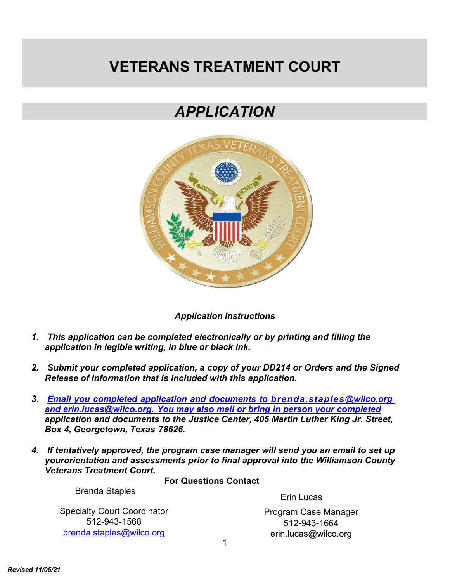# **VETERANS TREATMENT COURT**

# *APPLICATION*



*Application Instructions*

- *1. This application can be completed electronically or by printing and filling the application in legible writing, in blue or black ink.*
- *2. Submit your completed application, a copy of your DD214 or Orders and the Signed Release of Information that is included with this application.*
- *3. Email you completed application and documents to [brenda.staples@wilco.org](mailto:Email%20you%20completed%20application%20and%20documents%20to%20brenda.staples@wilco.org%20and%20erin.lucas@wilco.org.%20You%20may%20also%20mail%20or%20bring%20in%20person%20your%20completed) and [erin.lucas@wilco.org.](mailto:Email%20you%20completed%20application%20and%20documents%20to%20brenda.staples@wilco.org%20and%20erin.lucas@wilco.org.%20You%20may%20also%20mail%20or%20bring%20in%20person%20your%20completed) You may also mail or bring in person your completed application and documents to the Justice Center, 405 Martin Luther King Jr. Street, Box 4, Georgetown, Texas 78626.*
- *4. If tentatively approved, the program case manager will send you an email to set up yourorientation and assessments prior to final approval into the Williamson County Veterans Treatment Court.*

**For Questions Contact**

Brenda Staples

Specialty Court Coordinator 512-943-1568 [brenda.staples@wilco.org](mailto:bstaples@wilco.org)

Erin Lucas

Program Case Manager 512-943-1664 [erin.lucas@wilco.org](mailto:erin.lucas@wilco.org)

1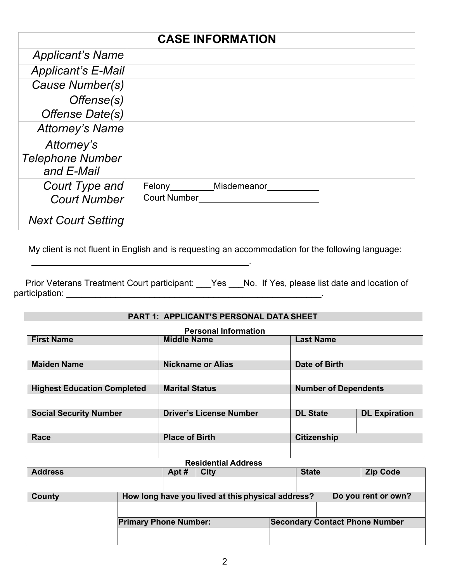|                                                     | <b>CASE INFORMATION</b>                   |
|-----------------------------------------------------|-------------------------------------------|
| <b>Applicant's Name</b>                             |                                           |
| <b>Applicant's E-Mail</b>                           |                                           |
| Cause Number(s)                                     |                                           |
| Offense(s)                                          |                                           |
| Offense Date(s)                                     |                                           |
| <b>Attorney's Name</b>                              |                                           |
| Attorney's<br><b>Telephone Number</b><br>and E-Mail |                                           |
| Court Type and<br><b>Court Number</b>               | Felony Misdemeanor<br><b>Court Number</b> |
| <b>Next Court Setting</b>                           |                                           |

My client is not fluent in English and is requesting an accommodation for the following language:

Prior Veterans Treatment Court participant: \_\_\_Yes \_\_\_No. If Yes, please list date and location of participation: \_\_\_\_\_\_\_\_\_\_\_\_\_\_\_\_\_\_\_\_\_\_\_\_\_\_\_\_\_\_\_\_\_\_\_\_\_\_\_\_\_\_\_\_\_\_\_\_\_\_\_\_.

.

#### **PART 1: APPLICANT'S PERSONAL DATA SHEET**

| <b>Personal Information</b>        |                                |                             |                      |  |  |
|------------------------------------|--------------------------------|-----------------------------|----------------------|--|--|
| <b>First Name</b>                  | <b>Middle Name</b>             | <b>Last Name</b>            |                      |  |  |
|                                    |                                |                             |                      |  |  |
| <b>Maiden Name</b>                 | <b>Nickname or Alias</b>       | Date of Birth               |                      |  |  |
|                                    |                                |                             |                      |  |  |
| <b>Highest Education Completed</b> | <b>Marital Status</b>          | <b>Number of Dependents</b> |                      |  |  |
|                                    |                                |                             |                      |  |  |
| <b>Social Security Number</b>      | <b>Driver's License Number</b> | <b>DL State</b>             | <b>DL Expiration</b> |  |  |
|                                    |                                |                             |                      |  |  |
| Race                               | <b>Place of Birth</b>          | <b>Citizenship</b>          |                      |  |  |
|                                    |                                |                             |                      |  |  |

#### **Residential Address**

| <b>Address</b> |                              | Apt# | <b>City</b>                                       | <b>State</b> | <b>Zip Code</b>                       |
|----------------|------------------------------|------|---------------------------------------------------|--------------|---------------------------------------|
|                |                              |      |                                                   |              |                                       |
| County         |                              |      | How long have you lived at this physical address? |              | Do you rent or own?                   |
|                |                              |      |                                                   |              |                                       |
|                | <b>Primary Phone Number:</b> |      |                                                   |              | <b>Secondary Contact Phone Number</b> |
|                |                              |      |                                                   |              |                                       |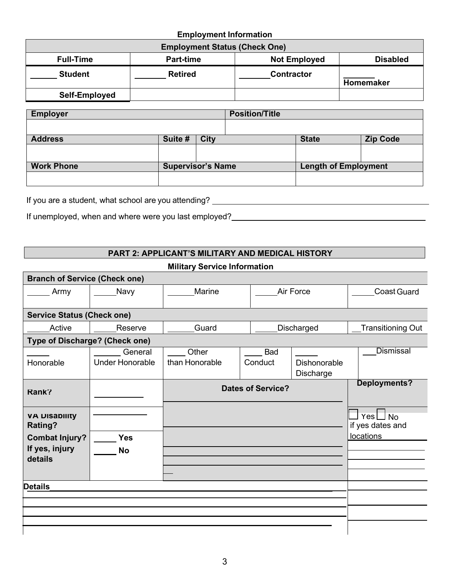# **Employment Information**

| <b>Employment Status (Check One)</b> |                  |                     |                 |  |  |
|--------------------------------------|------------------|---------------------|-----------------|--|--|
| <b>Full-Time</b>                     | <b>Part-time</b> | <b>Not Employed</b> | <b>Disabled</b> |  |  |
| <b>Student</b>                       | <b>Retired</b>   | <b>Contractor</b>   | Homemaker       |  |  |
| Self-Employed                        |                  |                     |                 |  |  |

| <b>Employer</b>   |                          |             | <b>Position/Title</b> |                             |                 |
|-------------------|--------------------------|-------------|-----------------------|-----------------------------|-----------------|
|                   |                          |             |                       |                             |                 |
| <b>Address</b>    | Suite #                  | <b>City</b> |                       | <b>State</b>                | <b>Zip Code</b> |
|                   |                          |             |                       |                             |                 |
|                   |                          |             |                       |                             |                 |
| <b>Work Phone</b> | <b>Supervisor's Name</b> |             |                       | <b>Length of Employment</b> |                 |
|                   |                          |             |                       |                             |                 |
|                   |                          |             |                       |                             |                 |

If you are a student, what school are you attending?

If unemployed, when and where were you last employed?<br>
If unemployed, when and where were you last employed?

# **PART 2: APPLICANT'S MILITARY AND MEDICAL HISTORY**

|  |  | <b>Military Service Information</b> |
|--|--|-------------------------------------|
|--|--|-------------------------------------|

| <b>Branch of Service (Check one)</b>               |                                   |                         |                          |                                  |                                   |  |
|----------------------------------------------------|-----------------------------------|-------------------------|--------------------------|----------------------------------|-----------------------------------|--|
| Army                                               | Navy                              | Marine<br>Air Force     |                          | Coast Guard                      |                                   |  |
| <b>Service Status (Check one)</b>                  |                                   |                         |                          |                                  |                                   |  |
| Active                                             | Reserve                           | Guard                   |                          | Discharged                       | Transitioning Out                 |  |
| Type of Discharge? (Check one)                     |                                   |                         |                          |                                  |                                   |  |
| Honorable                                          | General<br><b>Under Honorable</b> | Other<br>than Honorable | <b>Bad</b><br>Conduct    | <b>Dishonorable</b><br>Discharge | <b>Dismissal</b>                  |  |
| Rank?                                              |                                   |                         | <b>Dates of Service?</b> |                                  | <b>Deployments?</b>               |  |
| <b>VA DISADIIITY</b><br><b>Rating?</b>             |                                   |                         |                          |                                  | $Yes \Box No$<br>if yes dates and |  |
| <b>Combat Injury?</b><br>If yes, injury<br>details | <b>Yes</b><br><b>No</b>           |                         |                          |                                  | <b>locations</b>                  |  |
| <b>Details</b>                                     |                                   |                         |                          |                                  |                                   |  |
|                                                    |                                   |                         |                          |                                  |                                   |  |
|                                                    |                                   |                         |                          |                                  |                                   |  |
|                                                    |                                   |                         |                          |                                  |                                   |  |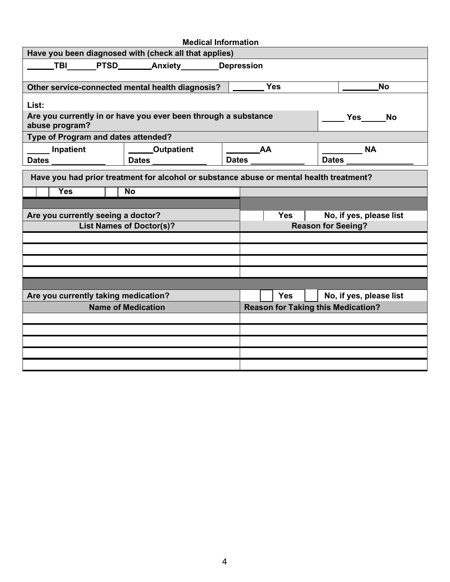| <b>Medical Information</b>                                                              |                                                                |  |                                                   |            |  |                                           |  |
|-----------------------------------------------------------------------------------------|----------------------------------------------------------------|--|---------------------------------------------------|------------|--|-------------------------------------------|--|
| Have you been diagnosed with (check all that applies)                                   |                                                                |  |                                                   |            |  |                                           |  |
| <b>TBI</b>                                                                              | PTSD________Anxiety________Depression                          |  |                                                   |            |  |                                           |  |
|                                                                                         | Other service-connected mental health diagnosis?               |  | Yes                                               |            |  | <b>No</b>                                 |  |
| List:                                                                                   |                                                                |  |                                                   |            |  |                                           |  |
| abuse program?                                                                          | Are you currently in or have you ever been through a substance |  |                                                   |            |  | <b>Sand Strip Yes No</b>                  |  |
| Type of Program and dates attended?                                                     |                                                                |  |                                                   |            |  |                                           |  |
| Inpatient                                                                               | Outpatient                                                     |  | $\overline{\phantom{a}}$ AA<br><b>Dates Dates</b> |            |  | $\overline{\phantom{a}}$ NA<br>Dates      |  |
| Dates __________                                                                        | Dates                                                          |  |                                                   |            |  |                                           |  |
| Have you had prior treatment for alcohol or substance abuse or mental health treatment? |                                                                |  |                                                   |            |  |                                           |  |
| <b>Yes</b>                                                                              | <b>No</b>                                                      |  |                                                   |            |  |                                           |  |
|                                                                                         |                                                                |  |                                                   |            |  |                                           |  |
| Are you currently seeing a doctor?                                                      |                                                                |  |                                                   | <b>Yes</b> |  | No, if yes, please list                   |  |
| <b>List Names of Doctor(s)?</b>                                                         |                                                                |  | <b>Reason for Seeing?</b>                         |            |  |                                           |  |
|                                                                                         |                                                                |  |                                                   |            |  |                                           |  |
|                                                                                         |                                                                |  |                                                   |            |  |                                           |  |
|                                                                                         |                                                                |  |                                                   |            |  |                                           |  |
|                                                                                         |                                                                |  |                                                   |            |  |                                           |  |
|                                                                                         |                                                                |  |                                                   |            |  |                                           |  |
| Are you currently taking medication?                                                    |                                                                |  |                                                   | <b>Yes</b> |  | No, if yes, please list                   |  |
|                                                                                         | <b>Name of Medication</b>                                      |  |                                                   |            |  | <b>Reason for Taking this Medication?</b> |  |
|                                                                                         |                                                                |  |                                                   |            |  |                                           |  |
|                                                                                         |                                                                |  |                                                   |            |  |                                           |  |
|                                                                                         |                                                                |  |                                                   |            |  |                                           |  |
|                                                                                         |                                                                |  |                                                   |            |  |                                           |  |
|                                                                                         |                                                                |  |                                                   |            |  |                                           |  |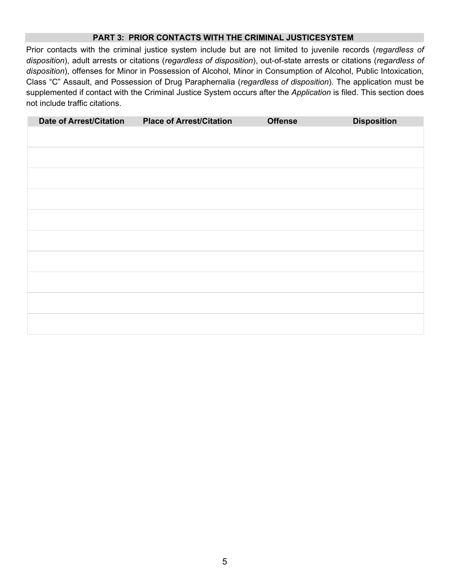#### **PART 3: PRIOR CONTACTS WITH THE CRIMINAL JUSTICESYSTEM**

Prior contacts with the criminal justice system include but are not limited to juvenile records (*regardless of disposition*), adult arrests or citations (*regardless of disposition*), out-of-state arrests or citations (*regardless of disposition*), offenses for Minor in Possession of Alcohol, Minor in Consumption of Alcohol, Public Intoxication, Class "C" Assault, and Possession of Drug Paraphernalia (*regardless of disposition*). The application must be supplemented if contact with the Criminal Justice System occurs after the *Application* is filed. This section does not include traffic citations.

| <b>Date of Arrest/Citation</b> | <b>Place of Arrest/Citation</b> | <b>Offense</b> | <b>Disposition</b> |
|--------------------------------|---------------------------------|----------------|--------------------|
|                                |                                 |                |                    |
|                                |                                 |                |                    |
|                                |                                 |                |                    |
|                                |                                 |                |                    |
|                                |                                 |                |                    |
|                                |                                 |                |                    |
|                                |                                 |                |                    |
|                                |                                 |                |                    |
|                                |                                 |                |                    |
|                                |                                 |                |                    |
|                                |                                 |                |                    |
|                                |                                 |                |                    |
|                                |                                 |                |                    |
|                                |                                 |                |                    |
|                                |                                 |                |                    |
|                                |                                 |                |                    |
|                                |                                 |                |                    |
|                                |                                 |                |                    |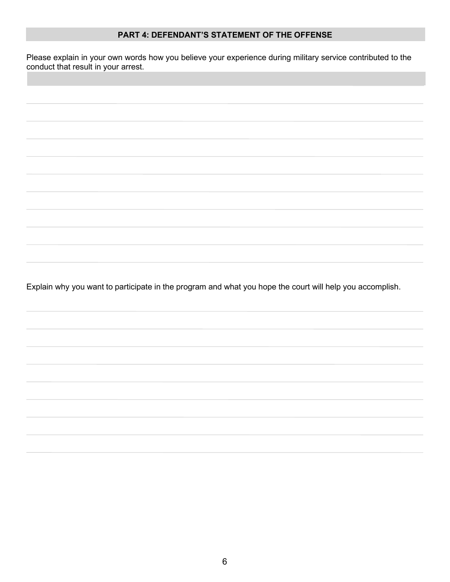#### **PART 4: DEFENDANT'S STATEMENT OF THE OFFENSE**

Please explain in your own words how you believe your experience during military service contributed to the conduct that result in your arrest.

Explain why you want to participate in the program and what you hope the court will help you accomplish.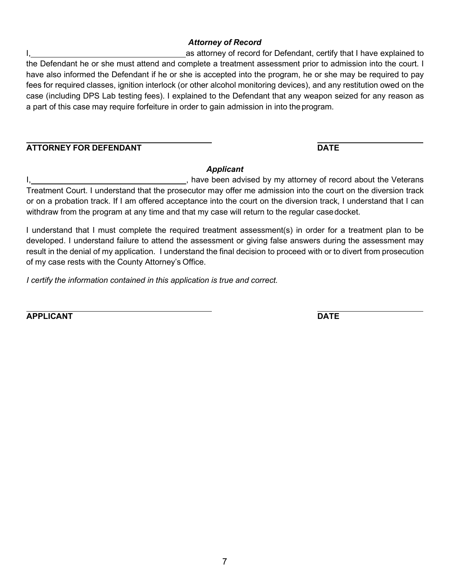### *Attorney of Record*

I, **I**, as attorney of record for Defendant, certify that I have explained to the Defendant he or she must attend and complete a treatment assessment prior to admission into the court. I have also informed the Defendant if he or she is accepted into the program, he or she may be required to pay fees for required classes, ignition interlock (or other alcohol monitoring devices), and any restitution owed on the case (including DPS Lab testing fees). I explained to the Defendant that any weapon seized for any reason as a part of this case may require forfeiture in order to gain admission in into theprogram.

## **ATTORNEY FOR DEFENDANT DATE**

## *Applicant*

I, the state of the veteral part of the Veterans of the Veterans of record about the Veterans in the Veterans Treatment Court. I understand that the prosecutor may offer me admission into the court on the diversion track or on a probation track. If I am offered acceptance into the court on the diversion track, I understand that I can withdraw from the program at any time and that my case will return to the regular casedocket.

I understand that I must complete the required treatment assessment(s) in order for a treatment plan to be developed. I understand failure to attend the assessment or giving false answers during the assessment may result in the denial of my application. I understand the final decision to proceed with or to divert from prosecution of my case rests with the County Attorney's Office.

*I certify the information contained in this application is true and correct.*

**APPLICANT DATE**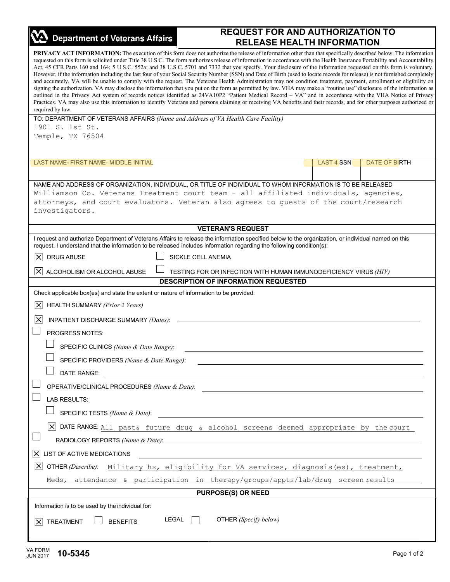| <b>Department of Veterans Affairs</b>                                                                                                                                                                                                                                                                                                                                                                                                                                                                                                                                                                                                                                                                                                                                                                                                                                                                                                                                                                                                                                                                                                                                                                                                                                                                                                                                                                              | <b>REQUEST FOR AND AUTHORIZATION TO</b>                                                                         |                   |                      |
|--------------------------------------------------------------------------------------------------------------------------------------------------------------------------------------------------------------------------------------------------------------------------------------------------------------------------------------------------------------------------------------------------------------------------------------------------------------------------------------------------------------------------------------------------------------------------------------------------------------------------------------------------------------------------------------------------------------------------------------------------------------------------------------------------------------------------------------------------------------------------------------------------------------------------------------------------------------------------------------------------------------------------------------------------------------------------------------------------------------------------------------------------------------------------------------------------------------------------------------------------------------------------------------------------------------------------------------------------------------------------------------------------------------------|-----------------------------------------------------------------------------------------------------------------|-------------------|----------------------|
|                                                                                                                                                                                                                                                                                                                                                                                                                                                                                                                                                                                                                                                                                                                                                                                                                                                                                                                                                                                                                                                                                                                                                                                                                                                                                                                                                                                                                    | <b>RELEASE HEALTH INFORMATION</b>                                                                               |                   |                      |
| PRIVACY ACT INFORMATION: The execution of this form does not authorize the release of information other than that specifically described below. The information<br>requested on this form is solicited under Title 38 U.S.C. The form authorizes release of information in accordance with the Health Insurance Portability and Accountability<br>Act, 45 CFR Parts 160 and 164; 5 U.S.C. 552a; and 38 U.S.C. 5701 and 7332 that you specify. Your disclosure of the information requested on this form is voluntary.<br>However, if the information including the last four of your Social Security Number (SSN) and Date of Birth (used to locate records for release) is not furnished completely<br>and accurately, VA will be unable to comply with the request. The Veterans Health Administration may not condition treatment, payment, enrollment or eligibility on<br>signing the authorization. VA may disclose the information that you put on the form as permitted by law. VHA may make a "routine use" disclosure of the information as<br>outlined in the Privacy Act system of records notices identified as 24VA10P2 "Patient Medical Record - VA" and in accordance with the VHA Notice of Privacy<br>Practices. VA may also use this information to identify Veterans and persons claiming or receiving VA benefits and their records, and for other purposes authorized or<br>required by law. |                                                                                                                 |                   |                      |
| TO: DEPARTMENT OF VETERANS AFFAIRS (Name and Address of VA Health Care Facility)<br>1901 S. 1st St.                                                                                                                                                                                                                                                                                                                                                                                                                                                                                                                                                                                                                                                                                                                                                                                                                                                                                                                                                                                                                                                                                                                                                                                                                                                                                                                |                                                                                                                 |                   |                      |
| Temple, TX 76504                                                                                                                                                                                                                                                                                                                                                                                                                                                                                                                                                                                                                                                                                                                                                                                                                                                                                                                                                                                                                                                                                                                                                                                                                                                                                                                                                                                                   |                                                                                                                 |                   |                      |
| LAST NAME- FIRST NAME- MIDDLE INITIAL                                                                                                                                                                                                                                                                                                                                                                                                                                                                                                                                                                                                                                                                                                                                                                                                                                                                                                                                                                                                                                                                                                                                                                                                                                                                                                                                                                              |                                                                                                                 | <b>LAST 4 SSN</b> | <b>DATE OF BIRTH</b> |
| NAME AND ADDRESS OF ORGANIZATION, INDIVIDUAL, OR TITLE OF INDIVIDUAL TO WHOM INFORMATION IS TO BE RELEASED                                                                                                                                                                                                                                                                                                                                                                                                                                                                                                                                                                                                                                                                                                                                                                                                                                                                                                                                                                                                                                                                                                                                                                                                                                                                                                         |                                                                                                                 |                   |                      |
| Williamson Co. Veterans Treatment court team - all affiliated individuals, agencies,<br>attorneys, and court evaluators. Veteran also agrees to guests of the court/research<br>investigators.                                                                                                                                                                                                                                                                                                                                                                                                                                                                                                                                                                                                                                                                                                                                                                                                                                                                                                                                                                                                                                                                                                                                                                                                                     |                                                                                                                 |                   |                      |
|                                                                                                                                                                                                                                                                                                                                                                                                                                                                                                                                                                                                                                                                                                                                                                                                                                                                                                                                                                                                                                                                                                                                                                                                                                                                                                                                                                                                                    | <b>VETERAN'S REQUEST</b>                                                                                        |                   |                      |
| I request and authorize Department of Veterans Affairs to release the information specified below to the organization, or individual named on this<br>request. I understand that the information to be released includes information regarding the following condition(s):<br>$\boldsymbol{\times}$<br><b>DRUG ABUSE</b>                                                                                                                                                                                                                                                                                                                                                                                                                                                                                                                                                                                                                                                                                                                                                                                                                                                                                                                                                                                                                                                                                           | SICKLE CELL ANEMIA                                                                                              |                   |                      |
|                                                                                                                                                                                                                                                                                                                                                                                                                                                                                                                                                                                                                                                                                                                                                                                                                                                                                                                                                                                                                                                                                                                                                                                                                                                                                                                                                                                                                    |                                                                                                                 |                   |                      |
| ×<br>ALCOHOLISM OR ALCOHOL ABUSE                                                                                                                                                                                                                                                                                                                                                                                                                                                                                                                                                                                                                                                                                                                                                                                                                                                                                                                                                                                                                                                                                                                                                                                                                                                                                                                                                                                   | TESTING FOR OR INFECTION WITH HUMAN IMMUNODEFICIENCY VIRUS (HIV)<br><b>DESCRIPTION OF INFORMATION REQUESTED</b> |                   |                      |
| Check applicable box(es) and state the extent or nature of information to be provided:                                                                                                                                                                                                                                                                                                                                                                                                                                                                                                                                                                                                                                                                                                                                                                                                                                                                                                                                                                                                                                                                                                                                                                                                                                                                                                                             |                                                                                                                 |                   |                      |
| $\vert x \vert$<br>HEALTH SUMMARY (Prior 2 Years)                                                                                                                                                                                                                                                                                                                                                                                                                                                                                                                                                                                                                                                                                                                                                                                                                                                                                                                                                                                                                                                                                                                                                                                                                                                                                                                                                                  |                                                                                                                 |                   |                      |
| $\times$<br>INPATIENT DISCHARGE SUMMARY (Dates):                                                                                                                                                                                                                                                                                                                                                                                                                                                                                                                                                                                                                                                                                                                                                                                                                                                                                                                                                                                                                                                                                                                                                                                                                                                                                                                                                                   |                                                                                                                 |                   |                      |
| <b>PROGRESS NOTES:</b>                                                                                                                                                                                                                                                                                                                                                                                                                                                                                                                                                                                                                                                                                                                                                                                                                                                                                                                                                                                                                                                                                                                                                                                                                                                                                                                                                                                             |                                                                                                                 |                   |                      |
| SPECIFIC CLINICS (Name & Date Range):                                                                                                                                                                                                                                                                                                                                                                                                                                                                                                                                                                                                                                                                                                                                                                                                                                                                                                                                                                                                                                                                                                                                                                                                                                                                                                                                                                              |                                                                                                                 |                   |                      |
| SPECIFIC PROVIDERS (Name & Date Range):                                                                                                                                                                                                                                                                                                                                                                                                                                                                                                                                                                                                                                                                                                                                                                                                                                                                                                                                                                                                                                                                                                                                                                                                                                                                                                                                                                            |                                                                                                                 |                   |                      |
| DATE RANGE:                                                                                                                                                                                                                                                                                                                                                                                                                                                                                                                                                                                                                                                                                                                                                                                                                                                                                                                                                                                                                                                                                                                                                                                                                                                                                                                                                                                                        |                                                                                                                 |                   |                      |
| <b>LAB RESULTS:</b>                                                                                                                                                                                                                                                                                                                                                                                                                                                                                                                                                                                                                                                                                                                                                                                                                                                                                                                                                                                                                                                                                                                                                                                                                                                                                                                                                                                                |                                                                                                                 |                   |                      |
|                                                                                                                                                                                                                                                                                                                                                                                                                                                                                                                                                                                                                                                                                                                                                                                                                                                                                                                                                                                                                                                                                                                                                                                                                                                                                                                                                                                                                    | SPECIFIC TESTS (Name & Date):                                                                                   |                   |                      |
| $\vert$ X DATE RANGE: All past& future drug & alcohol screens deemed appropriate by the court                                                                                                                                                                                                                                                                                                                                                                                                                                                                                                                                                                                                                                                                                                                                                                                                                                                                                                                                                                                                                                                                                                                                                                                                                                                                                                                      |                                                                                                                 |                   |                      |
|                                                                                                                                                                                                                                                                                                                                                                                                                                                                                                                                                                                                                                                                                                                                                                                                                                                                                                                                                                                                                                                                                                                                                                                                                                                                                                                                                                                                                    | RADIOLOGY REPORTS (Name & Date):                                                                                |                   |                      |
| $\vert \times \vert$<br>LIST OF ACTIVE MEDICATIONS                                                                                                                                                                                                                                                                                                                                                                                                                                                                                                                                                                                                                                                                                                                                                                                                                                                                                                                                                                                                                                                                                                                                                                                                                                                                                                                                                                 |                                                                                                                 |                   |                      |
| $\vert\mathsf{X}\vert$<br>OTHER (Describe): Military hx, eligibility for VA services, diagnosis (es), treatment,                                                                                                                                                                                                                                                                                                                                                                                                                                                                                                                                                                                                                                                                                                                                                                                                                                                                                                                                                                                                                                                                                                                                                                                                                                                                                                   |                                                                                                                 |                   |                      |
| Meds, attendance & participation in therapy/groups/appts/lab/drug screen results                                                                                                                                                                                                                                                                                                                                                                                                                                                                                                                                                                                                                                                                                                                                                                                                                                                                                                                                                                                                                                                                                                                                                                                                                                                                                                                                   |                                                                                                                 |                   |                      |
|                                                                                                                                                                                                                                                                                                                                                                                                                                                                                                                                                                                                                                                                                                                                                                                                                                                                                                                                                                                                                                                                                                                                                                                                                                                                                                                                                                                                                    | <b>PURPOSE(S) OR NEED</b>                                                                                       |                   |                      |
| Information is to be used by the individual for:                                                                                                                                                                                                                                                                                                                                                                                                                                                                                                                                                                                                                                                                                                                                                                                                                                                                                                                                                                                                                                                                                                                                                                                                                                                                                                                                                                   |                                                                                                                 |                   |                      |
| LEGAL<br>X TREATMENT<br><b>BENEFITS</b>                                                                                                                                                                                                                                                                                                                                                                                                                                                                                                                                                                                                                                                                                                                                                                                                                                                                                                                                                                                                                                                                                                                                                                                                                                                                                                                                                                            | OTHER (Specify below)                                                                                           |                   |                      |